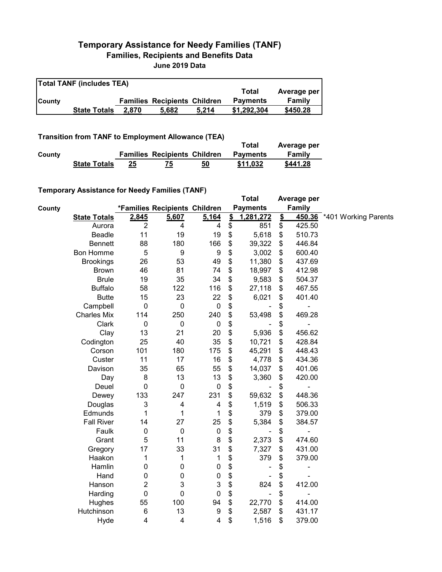## **Temporary Assistance for Needy Families (TANF) Families, Recipients and Benefits Data June 2019 Data**

| <b>Total TANF (includes TEA)</b> |                     |       |                                     |       |                 |             |  |  |
|----------------------------------|---------------------|-------|-------------------------------------|-------|-----------------|-------------|--|--|
|                                  |                     |       |                                     |       | Total           | Average per |  |  |
| <b>County</b>                    |                     |       | <b>Families Recipients Children</b> |       | <b>Payments</b> | Family      |  |  |
|                                  | <b>State Totals</b> | 2.870 | 5.682                               | 5.214 | \$1,292,304     | \$450.28    |  |  |

**Transition from TANF to Employment Allowance (TEA)**

|        | <b>ITAIISIUVII IIVIII TANT LO EIIIPIOVIIIEIIL AIIUWAIICE (TEA)</b> | Total | Average per                         |    |                 |          |
|--------|--------------------------------------------------------------------|-------|-------------------------------------|----|-----------------|----------|
| County |                                                                    |       | <b>Families Recipients Children</b> |    | <b>Payments</b> | Family   |
|        | <b>State Totals</b>                                                | 25    | 75                                  | 50 | \$11.032        | \$441.28 |

## **Temporary Assistance for Needy Families (TANF)**

|        | $1$ chiporary Assistance for Needy Families (TANT) |                |                               |                  |               | <b>Total</b>    |               | Average per                  |                      |
|--------|----------------------------------------------------|----------------|-------------------------------|------------------|---------------|-----------------|---------------|------------------------------|----------------------|
| County |                                                    |                | *Families Recipients Children |                  |               | <b>Payments</b> |               | <b>Family</b>                |                      |
|        | <b>State Totals</b>                                | 2,845          | 5,607                         | 5,164            | $\frac{2}{3}$ | 1,281,272       | $\frac{2}{3}$ | <u>450.36</u>                | *401 Working Parents |
|        | Aurora                                             | $\overline{2}$ | 4                             | 4                | \$            | 851             | \$            | 425.50                       |                      |
|        | Beadle                                             | 11             | 19                            | 19               | \$            | 5,618           | \$            | 510.73                       |                      |
|        | <b>Bennett</b>                                     | 88             | 180                           | 166              | \$            | 39,322          | \$            | 446.84                       |                      |
|        | <b>Bon Homme</b>                                   | 5              | $\boldsymbol{9}$              | 9                | \$            | 3,002           | \$            | 600.40                       |                      |
|        | <b>Brookings</b>                                   | 26             | 53                            | 49               | \$            | 11,380          | \$            | 437.69                       |                      |
|        | <b>Brown</b>                                       | 46             | 81                            | 74               | \$            | 18,997          | \$            | 412.98                       |                      |
|        | <b>Brule</b>                                       | 19             | 35                            | 34               | \$            | 9,583           | \$            | 504.37                       |                      |
|        | <b>Buffalo</b>                                     | 58             | 122                           | 116              | \$            | 27,118          | \$            | 467.55                       |                      |
|        | <b>Butte</b>                                       | 15             | 23                            | 22               | \$            | 6,021           | \$            | 401.40                       |                      |
|        | Campbell                                           | $\mathbf 0$    | $\mathbf 0$                   | $\boldsymbol{0}$ | \$            |                 | \$            |                              |                      |
|        | <b>Charles Mix</b>                                 | 114            | 250                           | 240              | \$            | 53,498          | \$            | 469.28                       |                      |
|        | Clark                                              | $\mathbf 0$    | $\pmb{0}$                     | $\mathbf 0$      | \$            |                 | \$            | $\overline{\phantom{0}}$     |                      |
|        | Clay                                               | 13             | 21                            | 20               | \$            | 5,936           | \$            | 456.62                       |                      |
|        | Codington                                          | 25             | 40                            | 35               | \$            | 10,721          | \$            | 428.84                       |                      |
|        | Corson                                             | 101            | 180                           | 175              | \$            | 45,291          | \$            | 448.43                       |                      |
|        | Custer                                             | 11             | 17                            | 16               | \$            | 4,778           | \$            | 434.36                       |                      |
|        | Davison                                            | 35             | 65                            | 55               | \$            | 14,037          | \$            | 401.06                       |                      |
|        | Day                                                | 8              | 13                            | 13               | \$            | 3,360           | \$            | 420.00                       |                      |
|        | Deuel                                              | $\mathbf 0$    | $\mathbf 0$                   | $\mathbf 0$      | \$            |                 | \$            |                              |                      |
|        | Dewey                                              | 133            | 247                           | 231              | \$            | 59,632          | \$            | 448.36                       |                      |
|        | Douglas                                            | 3              | $\overline{\mathbf{4}}$       | 4                | \$            | 1,519           | \$            | 506.33                       |                      |
|        | Edmunds                                            | 1              | 1                             | 1                | \$            | 379             | \$            | 379.00                       |                      |
|        | <b>Fall River</b>                                  | 14             | 27                            | 25               | \$            | 5,384           | \$            | 384.57                       |                      |
|        | Faulk                                              | 0              | $\pmb{0}$                     | $\mathbf 0$      | \$            |                 | \$            | $\qquad \qquad \blacksquare$ |                      |
|        | Grant                                              | 5              | 11                            | 8                | \$            | 2,373           | \$            | 474.60                       |                      |
|        | Gregory                                            | 17             | 33                            | 31               | \$            | 7,327           | \$            | 431.00                       |                      |
|        | Haakon                                             | 1              | 1                             | 1                | \$            | 379             | \$            | 379.00                       |                      |
|        | Hamlin                                             | 0              | $\pmb{0}$                     | $\mathbf 0$      | \$            |                 | \$            | ۰                            |                      |
|        | Hand                                               | 0              | $\pmb{0}$                     | 0                | \$            |                 | \$            |                              |                      |
|        | Hanson                                             | 2              | 3                             | 3                | \$            | 824             | \$            | 412.00                       |                      |
|        | Harding                                            | 0              | $\mathbf 0$                   | $\mathbf 0$      | \$            |                 | \$            | ÷,                           |                      |
|        | Hughes                                             | 55             | 100                           | 94               | \$            | 22,770          | \$            | 414.00                       |                      |
|        | Hutchinson                                         | 6              | 13                            | 9                | \$            | 2,587           | \$            | 431.17                       |                      |
|        | Hyde                                               | 4              | 4                             | 4                | \$            | 1,516           | \$            | 379.00                       |                      |